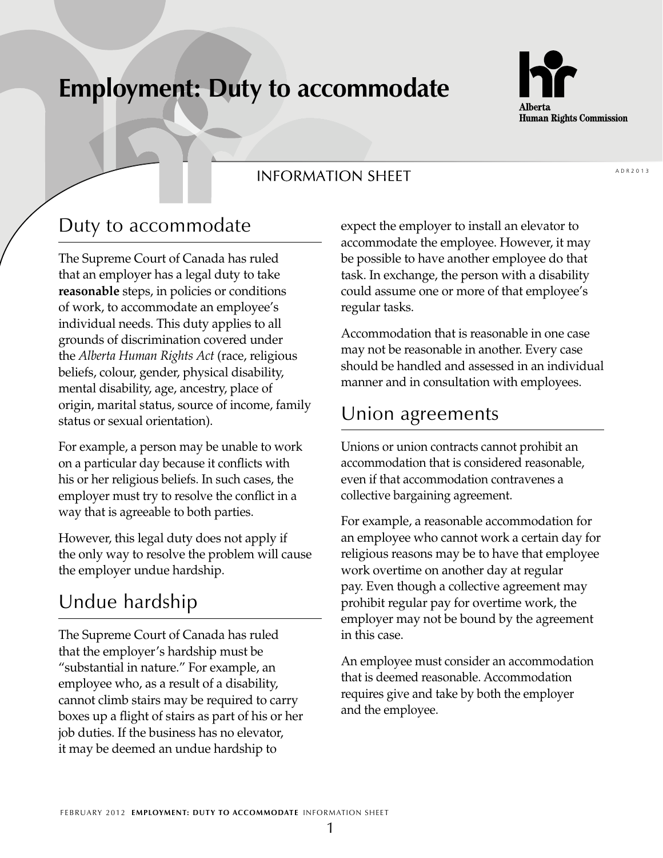# **Employment: Duty to accommodate**



#### **INFORMATION SHEET**

#### Duty to accommodate

The Supreme Court of Canada has ruled that an employer has a legal duty to take **reasonable** steps, in policies or conditions of work, to accommodate an employee's individual needs. This duty applies to all grounds of discrimination covered under the *Alberta Human Rights Act* (race, religious beliefs, colour, gender, physical disability, mental disability, age, ancestry, place of origin, marital status, source of income, family status or sexual orientation).

For example, a person may be unable to work on a particular day because it conflicts with his or her religious beliefs. In such cases, the employer must try to resolve the conflict in a way that is agreeable to both parties.

However, this legal duty does not apply if the only way to resolve the problem will cause the employer undue hardship.

# Undue hardship

The Supreme Court of Canada has ruled that the employer's hardship must be "substantial in nature." For example, an employee who, as a result of a disability, cannot climb stairs may be required to carry boxes up a flight of stairs as part of his or her job duties. If the business has no elevator, it may be deemed an undue hardship to

expect the employer to install an elevator to accommodate the employee. However, it may be possible to have another employee do that task. In exchange, the person with a disability could assume one or more of that employee's regular tasks.

Accommodation that is reasonable in one case may not be reasonable in another. Every case should be handled and assessed in an individual manner and in consultation with employees.

## Union agreements

Unions or union contracts cannot prohibit an accommodation that is considered reasonable, even if that accommodation contravenes a collective bargaining agreement.

For example, a reasonable accommodation for an employee who cannot work a certain day for religious reasons may be to have that employee work overtime on another day at regular pay. Even though a collective agreement may prohibit regular pay for overtime work, the employer may not be bound by the agreement in this case.

An employee must consider an accommodation that is deemed reasonable. Accommodation requires give and take by both the employer and the employee.